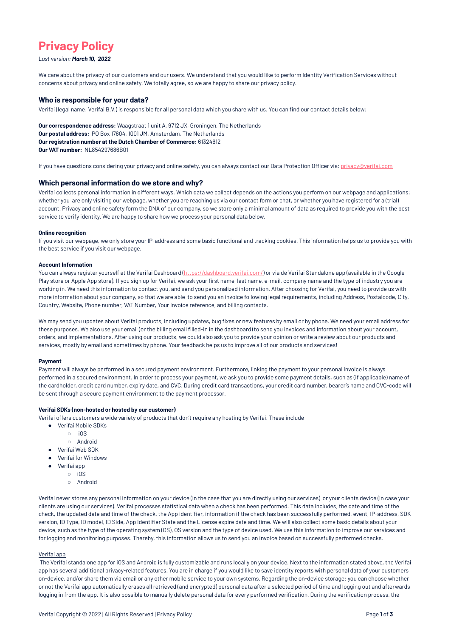# **Privacy Policy**

# *Last version: March 10, 2022*

We care about the privacy of our customers and our users. We understand that you would like to perform Identity Verification Services without concerns about privacy and online safety. We totally agree, so we are happy to share our privacy policy.

# **Who is responsible for your data?**

Verifai (legal name: Verifai B.V.) is responsible for all personal data which you share with us. You can find our contact details below:

**Our correspondence address:** Waagstraat 1 unit A, 9712 JX, Groningen, The Netherlands **Our postal address:** PO Box 17604, 1001 JM, Amsterdam, The Netherlands **Our registration number at the Dutch Chamber of Commerce:** 61324612 **Our VAT number:** NL854297686B01

If you have questions considering your privacy and online safety, you can always contact our Data Protection Officer via: [privacy@verifai.com](mailto:privacy@verifai.com)

# **Which personal information do we store and why?**

Verifai collects personal information in different ways. Which data we collect depends on the actions you perform on our webpage and applications: whether you are only visiting our webpage, whether you are reaching us via our contact form or chat, or whether you have registered for a (trial) account. Privacy and online safety form the DNA of our company, so we store only a minimal amount of data as required to provide you with the best service to verify identity. We are happy to share how we process your personal data below.

You can always register yourself at the Verifai Dashboard (<https://dashboard.verifai.com/>) or via de Verifai Standalone app (available in the Google Play store or Apple App store). If you sign up for Verifai, we ask your first name, last name, e-mail, company name and the type of industry you are working in. We need this information to contact you, and send you personalized information. After choosing for Verifai, you need to provide us with more information about your company, so that we are able to send you an invoice following legal requirements, including Address, Postalcode, City, Country, Website, Phone number, VAT Number, Your Invoice reference, and billing contacts.

## **Online recognition**

If you visit our webpage, we only store your IP-address and some basic functional and tracking cookies. This information helps us to provide you with the best service if you visit our webpage.

# **Account Information**

We may send you updates about Verifai products, including updates, bug fixes or new features by email or by phone. We need your email address for these purposes. We also use your email (or the billing email filled-in in the dashboard) to send you invoices and information about your account, orders, and implementations. After using our products, we could also ask you to provide your opinion or write a review about our products and services, mostly by email and sometimes by phone. Your feedback helps us to improve all of our products and services!

# **Payment**

Payment will always be performed in a secured payment environment. Furthermore, linking the payment to your personal invoice is always performed in a secured environment. In order to process your payment, we ask you to provide some payment details, such as (if applicable) name of the cardholder, credit card number, expiry date, and CVC. During credit card transactions, your credit card number, bearer's name and CVC-code will be sent through a secure payment environment to the payment processor.

# **Verifai SDKs (non-hosted or hosted by our customer)**

Verifai offers customers a wide variety of products that don't require any hosting by Verifai. These include

- Verifai Mobile SDKs
	- iOS
	- Android
- Verifai Web SDK
- Verifai for Windows
- Verifai app
- iOS
	-
	- **Android**

Verifai never stores any personal information on your device (in the case that you are directly using our services) or your clients device (in case your clients are using our services). Verifai processes statistical data when a check has been performed. This data includes, the date and time of the check, the updated date and time of the check, the App identifier, information if the check has been successfully performed, event, IP-address, SDK version, ID Type, ID model, ID Side, App Identifier State and the License expire date and time. We will also collect some basic details about your device, such as the type of the operating system (OS), OS version and the type of device used. We use this information to improve our services and for logging and monitoring purposes. Thereby, this information allows us to send you an invoice based on successfully performed checks.

#### Verifai app

The Verifai standalone app for iOS and Android is fully customizable and runs locally on your device. Next to the information stated above, the Verifai app has several additional privacy-related features. You are in charge if you would like to save identity reports with personal data of your customers on-device, and/or share them via email or any other mobile service to your own systems. Regarding the on-device storage: you can choose whether or not the Verifai app automatically erases all retrieved (and encrypted) personal data after a selected period of time and logging out and afterwards logging in from the app. It is also possible to manually delete personal data for every performed verification. During the verification process, the

Verifai Copyright © 2022 | All Rights Reserved | Privacy Policy Page **1** of **3**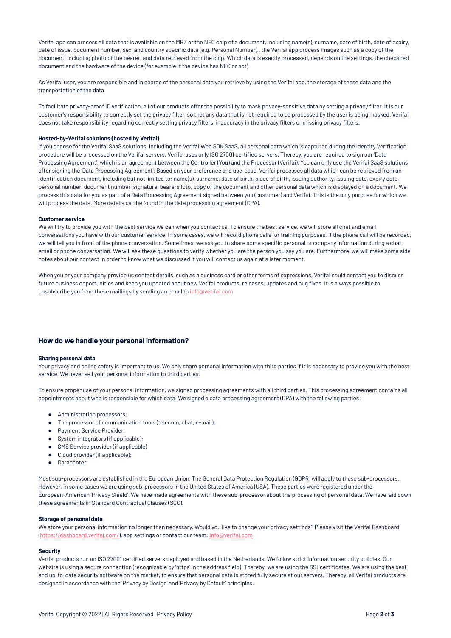Verifai app can process all data that is available on the MRZ or the NFC chip of a document, including name(s), surname, date of birth, date of expiry, date of issue, document number, sex, and country specific data (e.g. Personal Number)., the Verifai app process images such as a copy of the document, including photo of the bearer, and data retrieved from the chip. Which data is exactly processed, depends on the settings, the checkned document and the hardware of the device (for example if the device has NFC or not).

As Verifai user, you are responsible and in charge of the personal data you retrieve by using the Verifai app, the storage of these data and the transportation of the data.

To facilitate privacy-proof ID verification, all of our products offer the possibility to mask privacy-sensitive data by setting a privacy filter. It is our customer's responsibility to correctly set the privacy filter, so that any data that is not required to be processed by the user is being masked. Verifai does not take responsibility regarding correctly setting privacy filters, inaccuracy in the privacy filters or missing privacy filters.

## **Hosted-by-Verifai solutions (hosted by Verifai)**

If you choose for the Verifai SaaS solutions, including the Verifai Web SDK SaaS, all personal data which is captured during the Identity Verification procedure will be processed on the Verifai servers. Verifai uses only ISO 27001 certified servers. Thereby, you are required to sign our 'Data Processing Agreement', which is an agreement between the Controller (You) and the Processor (Verifai). You can only use the Verifai SaaS solutions after signing the 'Data Processing Agreement'. Based on your preference and use-case, Verifai processes all data which can be retrieved from an identification document, including but not limited to: name(s), surname, date of birth, place of birth, issuing authority, issuing date, expiry date, personal number, document number, signature, bearers foto, copy of the document and other personal data which is displayed on a document. We process this data for you as part of a Data Processing Agreement signed between you (customer) and Verifai. This is the only purpose for which we will process the data. More details can be found in the data processing agreement (DPA).

#### **Customer service**

We will try to provide you with the best service we can when you contact us. To ensure the best service, we will store all chat and email conversations you have with our customer service. In some cases, we will record phone calls for training purposes. If the phone call will be recorded, we will tell you in front of the phone conversation. Sometimes, we ask you to share some specific personal or company information during a chat, email or phone conversation. We will ask these questions to verify whether you are the person you say you are. Furthermore, we will make some side notes about our contact in order to know what we discussed if you will contact us again at a later moment.

When you or your company provide us contact details, such as a business card or other forms of expressions, Verifai could contact you to discuss future business opportunities and keep you updated about new Verifai products, releases, updates and bug fixes. It is always possible to unsubscribe you from these mailings by sending an email to [info@verifai.com](mailto:info@verifai.com).

# **How do we handle your personal information?**

#### **Sharing personal data**

Your privacy and online safety is important to us. We only share personal information with third parties if it is necessary to provide you with the best service. We never sell your personal information to third parties.

To ensure proper use of your personal information, we signed processing agreements with all third parties. This processing agreement contains all appointments about who is responsible for which data. We signed a data processing agreement (DPA) with the following parties:

- Administration processors;
- The processor of communication tools (telecom, chat, e-mail);
- Payment Service Provider;
- System integrators (if applicable);
- SMS Service provider (if applicable)
- Cloud provider (if applicable);
- Datacenter.

Most sub-processors are established in the European Union. The General Data Protection Regulation (GDPR) will apply to these sub-processors.

However, in some cases we are using sub-processors in the United States of America (USA). These parties were registered under the European-American 'Privacy Shield'. We have made agreements with these sub-processor about the processing of personal data. We have laid down these agreements in Standard Contractual Clauses (SCC).

#### **Storage of personal data**

We store your personal information no longer than necessary. Would you like to change your privacy settings? Please visit the Verifai Dashboard ([https://dashboard.verifai.com/\)](https://dashboard.verifai.com/), app settings or contact our team: [info@verifai.com](mailto:info@verifai.com)

#### **Security**

Verifai products run on ISO 27001 certified servers deployed and based in the Netherlands. We follow strict information security policies. Our website is using a secure connection (recognizable by 'https' in the address field). Thereby, we are using the SSLcertificates. We are using the best and up-to-date security software on the market, to ensure that personal data is stored fully secure at our servers. Thereby, all Verifai products are designed in accordance with the 'Privacy by Design' and 'Privacy by Default' principles.

Verifai Copyright © 2022 | All Rights Reserved | Privacy Policy **Page 2** of **3** Page 2 of **3**